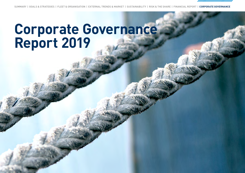SUMMARY | GOALS & STRATEGIES | FLEET & ORGANISATION | EXTERNAL TRENDS & MARKET | SUSTAINABILITY | RISK & THE SHARE | FINANCIAL REPORT | **CORPORATE GOVERNANCE**

# **Corporate Governance Report 2019**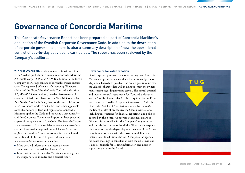## **Governance of Concordia Maritime**

This Corporate Governance Report has been prepared as part of Concordia Maritime's application of the Swedish Corporate Governance Code. In addition to the description of corporate governance, there is also a summary description of how the operational control of day-to-day activities is carried out. The report has been reviewed by the Company's auditors.

**THE PARENT COMPANY** of the Concordia Maritime Group is the Swedish public limited company Concordia Maritime AB (publ), corp. ID 556068-5819. In addition to the Parent Company, the Group consists of 18 wholly-owned subsidiaries. The registered office is in Gothenburg. The postal address of the Group's head office is Concordia Maritime AB, SE-405 19, Gothenburg, Sweden. Governance of Concordia Maritime is based on the Swedish Companies Act, Nasdaq Stockholm's regulations, the Swedish Corporate Governance Code ("the Code") and other applicable Swedish and foreign laws and regulations. Concordia Maritime applies the Code and the Annual Accounts Act, and this Corporate Governance Report has been prepared as part of the application of the Code. The Swedish Corporate Governance Code is available at *www.bolagsstyrning.se*. Certain information required under Chapter 6, Section 6 (3) of the Swedish Annual Accounts Act can be found in the Board of Directors' Report. Information at *www.concordiamaritime.com* includes:

- $\blacksquare$  More detailed information on internal control documents, e.g. the articles of association.
- Information from Concordia Maritime's annual general meetings, notices, minutes and financial reports.

#### **Governance for value creation**

Good corporate governance is about ensuring that Concordia Maritime's operations are conducted as sustainably, responsibly and effectively as possible. The overall goal is to increase the value for shareholders and, in doing so, meet the owners' requirements regarding invested capital. The central external and internal control instruments for Concordia Maritime are the Swedish Companies Act, Nasdaq Stockholm's Rules for Issuers, the Swedish Corporate Governance Code (the Code), the Articles of Association adopted by the AGM, the Board's rules of procedure, the CEO's instructions, including instructions for financial reporting, and policies adopted by the Board. Concordia Maritime's Board of Directors is responsible for the Company's organisation and the administration of its affairs. The CEO is responsible for ensuring the day-to-day management of the Company is in accordance with the Board's guidelines and instructions. In addition, the CEO compiles the agenda for Board meetings in consultation with the Chairman and is also responsible for issuing information and decisionsupport material to the Board.

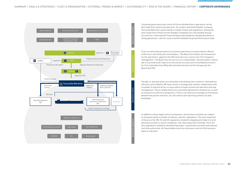Corporate governance

Regulations, corporate

Operational regulations Operational control Regulations, corporate

nal requlat



Corporate governance and control of Concordia Maritime's operations can be described from several perspectives. As a public and listed Swedish company, Concordia Maritime is governed by a number of laws and regulations. Among the most important of these are the Swedish Companies Act, the Swedish Annual Accounts Act, International Financial Reporting Standards, Nasdaq Stockholm's listing agreement, rules for issuers and the Swedish Corporate Governance Code.<br>.

From an ownership perspective, business operations are governed by a Board of Directors elected by the shareholders. The Board formulates the frameworks for the operations, appoints the CEO and exercises control over the Company's management. The Board has the services of a shareholder-elected auditor, whose job is to provide audit reports on the annual accounts and consolidated accounts for Concordia Maritime AB (publ) and administration of the Company by the Board and CEO.

The day-to-day operations are ultimately controlled by the customers' demands for efficiency and reliability. We have chosen a strategy that involves collaboration with a number of subcontractors in areas which include commercial operation and ship<br>a number of subcontractors in areas which include commercial operation and ship management. These collaborations are covered by agreements and policies, as well as mutual trust and full transparency. There is an extensive exchange of information between the parties and here, too, the control and reporting systems are well developed.

In addition to these legal control mechanisms, the business activities are subject to and governed by a number of industry-specific regulations. The most important of these are the UN, EU and US regulations related to shipping and trade in oil and petroleum products, and oil companies' own ship inspections (vetting). There are also regulations related to individual flag states, classification societies and national maritime authorities. All these bodies exercise continuous control of the business down to ship level.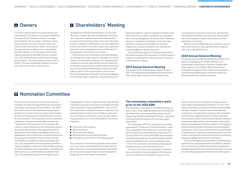### **<sup>A</sup>** Owners

The share capital consists of class A shares and class B shares. All shares carry equal entitlement to a share of the Company's assets, earnings and dividends. The par value is SEK 8 per share. Class A shares carry ten votes per share and class B shares one vote per share. At the end of the year, all class A shares were controlled by the Stena Sphere. At 31 December 2019, share capital amounted to SEK 381.8 million, divided into 47.73 million shares, of which 43.73 million were B shares. The total number of votes is 83.73 million. The only shareholder holding more than one-tenth of the votes is Stena Sessan.

## **<sup>C</sup>** Shareholders' Meeting

The general meeting of shareholders is Concordia Maritime's highest decision-making body. Participation in decision-making requires the shareholder's presence at the meeting, either in person or through a proxy. In addition, shareholders must be registered in their own name in the share register by a specified date prior to the meeting and must provide notice of participation in the manner prescribed.

Resolutions at the meeting are normally adopted on the basis of a simple majority. However, for certain matters, the Swedish Companies Act stipulates that resolutions must be approved by a larger proportion of the votes cast and shares represented at the meeting. The Annual General Meeting is held in the Gothenburg region in the second quarter of each year. The meeting decides on matters concerning adoption of the annual report, dividends, remuneration of the

Board and auditors, election of Board members and, when necessary, auditors, guidelines on remuneration of Group management as well as other important business. Individual shareholders wishing to have business considered at the AGM can normally request this, in good time before the meeting, via *arsstamma@concordiamaritime.com*.

An extraordinary general meeting may be held if the Board considers this necessary or if the Company's auditors or shareholders owning at least 10 percent of the shares so request.

#### **2019 Annual General Meeting**

The Annual General Meeting was held on 25 April 2019. The meeting was attended by 52 shareholders with voting rights, in person or through a proxy,

representing 73.2 percent of the votes. All meetingelected Board members were present. Also present were the Company's auditor and members of the nomination committee.

Minutes from the AGM and associated documentation can be found on Concordia Maritime's website, *www.concordiamaritime.com*.

#### **2020 Annual General Meeting**

The Annual General Meeting will be held at Elite Park Avenue, Gothenburg on 29 April 2020 at 1 p.m. Shareholders registered in Euroclear Sweden AB's share register as at 23 April 2020 and who have notified the Company of their intention to attend the Annual General Meeting are entitled to attend the Meeting, either personally or by proxy.

## **B** Nomination Committee

The nomination process for the election of Board members includes the appointment of a nomination committee consisting of three members. The members shall comprise the Chairman and one representative from each of the two largest shareholders (in terms of voting power), should they wish to serve on the committee. The composition of the nomination committee is based on shareholder statistics on 1 September in the year prior to the meeting. The names of representatives on the nomination committee and the shareholders they represent shall be announced on the website immediately after their appointment, but no later than six months before the annual general meeting. If the structure of major shareholders changes during the nomination process, the composition of the nomination committee may be changed to reflect this. Shareholders wishing to submit proposals to the nomination committee are able to do so via arsstamma@concordiamaritime. com. The guidelines issued to the largest owners

regarding their choice of representative state that the individual in question must have knowledge and experience relevant to Concordia Maritime. The rules on the independence of Board members contained in the Swedish Corporate Governance Code are observed. The nomination committee's tasks include submitting proposals prior to the 2020 AGM for the following areas:

- Chairman of the meeting
- **Board members**
- Chairman of the Board
- Remuneration of each Board member
- Nomination committee for the following year

The nomination committee's proposals and a report on its own work shall be published no later than the date of the notice convening the meeting. Shareholders are given the opportunity to submit nomination proposals to the nomination committee.

#### **The nomination committee's work prior to the 2020 AGM**

The nomination committee for the 2020 meeting consists of Carl-Johan Hagman (Chairman of the Board), Karl Swartling, representing Stena Sessan as the largest shareholder and Bengt Stillström, representing himself and his family as the second-largest shareholder.

At 1 September 2019, the nomination committee represented 77.0 percent of the shareholders' votes. The composition of the nomination committee was announced on Concordia Maritime's website on 23 October 2019. Prior to the 2019 AGM, the nomination committee has held two minuted meetings and also communicated with each other by telephone and e-mail. The nomination committee's proposals are available atwww.concordiamaritime.com.

To carry out its work, the nomination committee has examined the internal evaluation of the Board's work, the Chairman of the Board's report on the

Board's work and the Company's strategy, and has interviewed individual Board members. It is the nomination committee's assessment that the recommended members together have the required breadth and competence. In preparing its proposal, the nomination committee has applied Section 4.1 of the Code as its diversity policy, which means that the Board is to have a composition appropriate to the Company's operations, phase of development and other relevant circumstances and that Board members elected by the shareholders' meeting are collectively to exhibit diversity and breadth of qualifications, experience and background. The nomination committee also works with the aim of achieving a balanced gender distribution on the Board.

In view of the above, the nomination committee has a good basis for assessing whether the Board's composition is satisfactory, whether the need for competence, breadth and experience on the Board has been met, and for submitting proposals for the election of the auditor.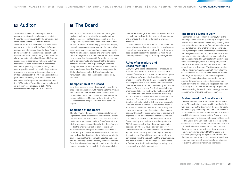The auditor provides an audit report on the annual accounts and consolidated accounts for Concordia Maritime AB (publ), the administration of the Board and the CEO and the annual accounts for other subsidiaries. The audit is conducted in accordance with the Swedish Companies Act and International Standards on Auditing (ISAs) issued by the International Federation of Accountants (IFAC). The auditing of annual financial statements for legal entities outside Sweden is conducted in accordance with laws and other regulations in each country and in accordance with IFAC's generally accepted auditing standards on providing audit reports for legal entities. An auditor is proposed by the nomination committee and elected by the AGM for a period of one year. At the 2019 AGM, Jan Malm of KPMG was elected as the Company's external auditor until the 2020 meeting. The auditor's fees are charged on a current account basis. In 2019, KPMG received fees totalling SEK 1.6 (1.6) million.

## **<sup>D</sup>** Auditor **<sup>E</sup>**The Board

The Board is Concordia Maritime's second-highest decision-making body after the general meeting of shareholders. The Board is responsible for the Company's organisation and the administration of its affairs, for example, by defining goals and strategies, maintaining procedures and systems for monitoring the defined goals, continuously assessing Concordia Maritime's financial situation and evaluating operational management. It is also the Board's responsibility to ensure that the correct information is provided to the Company's stakeholders, that the Company complies with laws and regulations, and that the Company develops and implements internal policies and ethical guidelines. The Board also appoints the CEO and determines the CEO's salary and other remuneration based on the guidelines adopted by the AGM.

#### **Composition of the Board**

Board members are elected annually by the AGM for the period until the next AGM. According to the Articles of Association, the Board shall consist of at least three and not more than seven members elected by the Annual General Meeting, without deputies. The Board members are presented in more detail on page 92.

#### **Chairman of the Board**

The Chairman of the Board is responsible for ensuring that the Board's work is conducted effectively and that the Board fulfils its duties. The Chairman shall in particular organise and lead the Board's work to create the best possible conditions for the Board's work.

It is the Chairman's task to ensure that a new Board member undergoes the necessary introductory training and any other training that the Chairman and the Board of Directors jointly find appropriate, to ensure that the Board continually updates and deepens its knowledge of the Company, to ensure that the Board receives satisfactory information and decisionsupport material for its work, to draft an agenda for

the Board's meetings after consultation with the CEO, to check that the Board's decisions are implemented and to ensure that the Board's work is evaluated annually.

The Chairman is responsible for contacts with the owners in ownership matters and for conveying comments from the owners to the Board. The Chairman does not participate in the operational work within the Company and is not part of Group management.

#### **Rules of procedure and Board meetings**

Every year, the Board adopts rules of procedure for its work. These rules of procedure are revised as needed. The rules of procedure contain a description of the Chairman's special role and tasks, and the areas of responsibility for the Board. According to the rules of procedure, the Chairman shall ensure that the Board's work is carried out efficiently and that the Board performs its tasks. The Chairman shall also organise and allocate the Board's work, ensure that the Board's decisions are implemented effectively and that the Board makes an annual evaluation of its own work. The rules of procedure also contain detailed instructions to the CEO and other corporate functions about which matters require the Board's approval. In particular, the instructions specify the maximum amounts that different decision-making bodies within the Group are authorised to approve with regard to credit, investments and other expenditure. The rules of procedure stipulate that the statutory Board meeting shall be held immediately after the AGM. Business dealt with at this meeting includes decisions on who will have signatory power for Concordia Maritime. In addition to the statutory meeting, the Board normally holds five regular meetings during the year. Four of these meetings are held in conjunction with the publication of the Group's annual and interim reports. The meetings are usually held in Gothenburg. Additional meetings, including conference calls, are held as required.

#### **The Board's work in 2019**

The Board held five ordinary meetings, two extra meetings and one statutory meeting during the year. All ordinary meetings and the statutory meeting were held in the Gothenburg area. One extra meeting was held by telephone and another extra meeting was held by correspondence. At ordinary Board meetings, the CFO gives an account of the Group's results and financial position, including the prospects for the following quarters. The CEO deals with market situations, vessel employment, business plans, investments, the establishment of new operations, and acquisitions and disposals. The Company's auditor attended the meeting in January 2019, at which the year-end accounts for 2018 were approved. All the meetings during the year followed an approved agenda. The agenda and documentation for each agenda item were sent to Board members one week before the meetings. Ola Helgesson has been secretary at all of the Board meetings. Significant business during the year included strategy, market assessments, financing and vessel charters.

#### **Evaluation of the Board's work**

The Board conducts an annual evaluation of its own work. The evaluation covers working methods, the working climate, the direction of the Board's work, the need for, special competence on the Board and access to such competence. The evaluation is used as an aid in developing the work of the Board and also acts as support for the nomination committee's work.

The Board's evaluation showed that the Board's work was very effective and that comments from the 2019 evaluation were taken into account, but that there was scope for some further improvements. The evaluation also showed that the Board is a well-composed group with great commitment and that its members bring broad competence and have extensive experience from different areas that are relevant to Concordia Maritime's operations.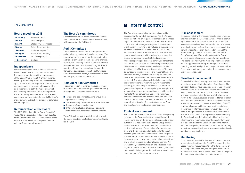#### The Board, cont'd

#### **Board meetings 2019**

| <b>30 January</b> | Year-end report                |  |  |
|-------------------|--------------------------------|--|--|
| 25 April          | Interim report, Q1             |  |  |
| 25 April          | <b>Statutory Board meeting</b> |  |  |
| 24 June           | Extra Board meeting            |  |  |
| 15 August         | Half-year report, Q2           |  |  |
| <b>30 August</b>  | Extra Board meeting            |  |  |
| <b>5 November</b> | Interim report, Q3             |  |  |
| 11 December       | <b>Budget</b>                  |  |  |
|                   |                                |  |  |

#### **Independence**

In terms of independence, the Board of Directors is considered to be in compliance with Stock Exchange regulations and the requirements of the Code. Prior to the 2019 annual general meeting, all meeting-elected Board members apart from Carl-Johan Hagman and Henrik Hallin were assessed by the nomination committee as independent of both the major owners of the Company and its executive management. Carl-Johan Hagman and Henrik Hallin are not considered independent of Concordia Maritime's major owners, as they have a managerial function in Stena Sphere.

#### **Remuneration of the Board**

The 2019 AGM adopted total Board fees of SEK 1,525,000, distributed as follows: SEK 400,000 to the Chairman and SEK 225,000 to each of the non-executive directors. No special fees are paid for Board committee work.

#### **The Board's committees**

Concordia Maritime's Board has established an audit committee and a remuneration committee, which consist of the full Board.

#### **Audit Committee**

The audit committee works to strengthen control and monitoring related to financial reporting. The committee was briefed on matters including the auditor's examination of the Company's financial reports, the Company's internal controls and risk management at four of the year's regular Board meetings. Reporting takes place through the Company's audit group, consisting of two representatives from the Board, a representative from the Company's auditor and the CFO.

#### **Remuneration Committee**

The remuneration committee makes proposals to the AGM on remuneration guidelines for Group management. The guidelines deal with:

- Targets and basis for calculating Group management's variable pay
- The relationship between fixed and variable pay
- Changes in fixed or variable pay
- Criteria for evaluation of variable pay, longterm incentives, pensions and other benefits

The AGM decides on the guidelines, after which the Board decides on actual remuneration levels for the CEO.

## **F**Internal control

The Board's responsibility for internal control is governed by the Swedish Companies Act, the Annual Accounts Act – which requires information on the most important elements of Concordia Maritime's internal control and risk management system in connection with financial reporting to be included in the corporate governance report every year – and the Code. The Board shall also ensure that Concordia Maritime has good internal control and formalised procedures that ensure compliance with established principles for financial reporting and internal control, and that there are appropriate systems for monitoring and control of the Company's operations and the risks associated with Concordia Maritime and its operations. The overall purpose of internal control is to reasonably ensure that the Company's operational strategies and objectives are monitored and that the owners' investment is protected. The internal control shall also ensure that the external financial reporting is, with reasonable certainty, reliable and prepared in accordance with generally accepted accounting principles, compliance with applicable laws and regulations, and with requirements for listed companies. Concordia Maritime's policies and instructions are evaluated annually. This internal control report has been prepared in accordance with the Swedish Corporate Governance Code and mainly covers the following components.

#### **Control environment**

The core of the internal control over financial reporting is based on the Group's directives, guidelines and instructions, and on the structure of responsibility and authority that has been adapted to the Group's organisation in order to create and maintain a satisfactory control environment. The principles for internal controls and the directives and guidelines for financial reporting are contained in the Group's financial policy. A fundamental component of our control environment is the corporate culture that is established in the Group and in which managers and employees operate. We work actively on communication and education with regard to the values described in an internal joint document which binds together the business area and is an important part of the common culture.

#### **Risk assessment**

Risks associated with financial reporting are evaluated and monitored by the Board as a whole. Prior to examining interim and annual reports, the audit committee have access to relevant documentation well in advance of publication and the Board meeting preceding publication. The reports are then discussed in detail at the Board meeting. The CFO acts as rapporteur of the Group's results and financial position at the Board meeting and is, of course, available for any questions. The Board also reviews the most important accounting policies applied in the Group with respect to financial reporting, as well as significant changes to these policies. The external auditors report to the Board as necessary and at least once a year.

#### **Need for internal audit**

Concordia Maritime is a company with a limited number of customers and a limited number of employees. The Company does not have a special internal audit function as there are relatively few transactions on an annual basis. The small number of transactions also makes financial reporting in the Company relatively easy to verify. In its annual evaluation of the need for an internal audit function, the Board has therefore decided that the present routines and processes are sufficient. The CEO is ultimately responsible for ensuring the satisfactory functioning of internal controls. However, day-to-day work is delegated to the business administration and finance function. The rules of procedure established by the Board each year include detailed instructions on which financial reports and other financial information is to be submitted to the Board. In addition to interim and annual reports, other financial information relating to the Company and business is also examined and evaluated on an ongoing basis.

#### **Monitoring**

Compliance with and effectiveness of internal controls are monitored continuously. The CEO ensures that the Board receives regular reports on the development of the Company's operations, including the development of Concordia Maritime's financial performance and position, and information about important events.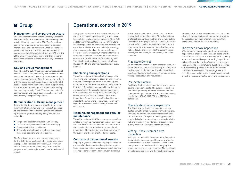## **<sup>G</sup>** Group

#### **Management and corporate structure**

The Group comprises the Parent Company Concordia Maritime AB (publ) and a number of Group companies, which ultimately report to the CEO. The Parent Company's own organisation consists solely of company management and administration. Other functions are purchased. At the end of 2019, the total number of persons employed through the Group was 520, and 514 of the employees were seagoing. Only the six shorebased employees are formally employed by Concordia Maritime.

#### **CEO and Group management**

In addition to the CEO, Group management consists of the CFO. The CEO is appointed by, and receives instructions from, the Board. The CEO is responsible for the day-to-day management of the Company in accordance with the Board's guidelines and instructions. The CEO also produces information and decision-support material prior to Board meetings and attends the meetings in a reporting capacity. The CEO is also responsible for communication and quality assurance of contact with the Company's cooperation partners.

#### **Remuneration of Group management**

Concordia Maritime endeavours to offer total remuneration that is both fair and competitive. Guidelines on remuneration of Group management are adopted by the annual general meeting. The guidelines are related to:

- Targets and basis for calculating variable pay
- $\blacksquare$  The relationship between fixed and variable pay
- Changes in fixed or variable pay
- Criteria for evaluation of variable pay, long-term incentives, pensions and other benefits

The Board decides on actual remuneration levels for the CEO. Remuneration of other senior executives is prepared and decided on by the CEO. For further information on remuneration, long-term incentive programs and pension plans, see note 4 in the financial report.

## Operational control in 2019

A large part of the day-to-day operational work in the form of chartering and manning is purchased from related-party suppliers, primarily Stena Bulk and Northern Marine Management (NMM). Stena Bulk is responsible for chartering and operation of our ships, while NMM is responsible for manning, ship management and day-to-day maintenance. From a control perspective, Concordia Maritime's main task is to monitor and evaluate whether the contracts entered into are performed as agreed. There is close, virtually daily, contact with Stena Bulk and NMM, and a formal report is made every quarter.

#### **Chartering and operations**

The collaboration with Stena Bulk with regard to chartering and operations is based on an agreement between the companies which is followed up and evaluated annually. Read more about the agreement in Note 22. Stena Bulk is responsible for the day-today operation of the vessels, maintaining contact with customers, and acting as an intermediary in connection with different types of controls and inspections. Reporting is formalised and the most important elements are regular reports on earnings, the outcome of profit-sharing clauses and cost control.

#### **Manning, management and regular maintenance**

The collaboration with NMM encompasses services related to manning, management and regular maintenance. NMM is also responsible for contacts with the classification societies in the context of their inspections. The evaluation includes monitoring of the budget and the fulfilment of defined goals.

#### **Control and inspection of vessels**

Shipping in general and tanker shipping in particular are associated with an extensive system of regulations. In addition to the owner's own inspections, several inspections are carried out annually by various

stakeholders: customers, classification societies, port authorities and flag states. These inspections are largely similar to each other; and include putting the vessels through operational, technical, mechanical and safety checks. Some of the inspections are planned, while others are carried out without prior notice. Results are reported to the authorities concerned, the owner and, in some cases, also to the customer.

### Flag State Control

All ships must be registered in a specific nation. The owner of the ship undertakes thereby to comply with the laws and regulations laid down by the nation in question. Flag State Control ensures a ship complies with applicable laws and regulations.

### Port State Control

Port State Control is the inspection of foreign ships calling at a nation's ports. The purpose is to check that the ships comply with requirements, that the crew has the right competence, and that international regulations (SOLAS, MARPOL and STCW) are adhered to.

#### Classification Society inspections

The Classification Society's inspections are conducted annually or following repairs/modifications. Additionally, a more comprehensive inspection is carried out every fifth year at the shipyard. Special emphasis is given to examining e.g. materials in the hull and machinery, maintenance procedures and quality level of the work done at the shipyard.

#### Vetting – the customer's own inspection

Vetting is carried out by the customer or inspectors designated by the customer. The owner invites the customer to carry out an inspection, which is normally done in connection with discharging. The inspections are very comprehensive. They are based on a standardised form and the results are shared

between the oil companies via databases. The system allows oil companies to continuously check whether the vessels satisfy their internal criteria, without having to inspect the vessels themselves.

#### The owner's own inspections

NMM conducts regular scheduled, comprehensive inspections to check the conditions on board and the state of the vessel. These are documented in quarterly reports and a monthly report of vetting inspections on board Concordia Maritime's vessels is also compiled. Concordia Maritime/Stena Bulk hold meetings with NMM every quarter, at which all the vessels in the fleet are reviewed. The meetings deal with everything from freight rates, operation and drydock to work in the area of health, safety and environment.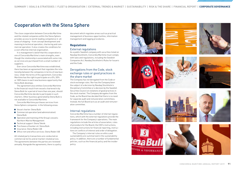## Cooperation with the Stena Sphere

The close cooperation between Concordia Maritime and the related companies within the Stena Sphere provides access to world-leading competence in all areas of shipping – from concept development and manning to technical operation, chartering and com mercial operation. It also creates the conditions for a cost-effective internal organisation.

It is management's belief that this cooperation is one of Concordia Maritime's main strengths, even though the relationship is associated with some risk, as services are purchased from a small number of suppliers.

Ever since Concordia Maritime was established, there has been an agreement that regulates the rela tionship between the companies in terms of new busi ness. Under the terms of this agreement, Concordia Maritime has the right to participate on a 0%, 50% or 100% basis in each new business opportunity that Stena Bulk develops.

The agreement also entitles Concordia Maritime to the financial result from vessels chartered in by Stena Bulk for a period of more than one year, should Concordia Maritime decide to participate in such charters. Other business generated by Stena Bulk is not available to Concordia Maritime.

Concordia Maritime purchases services from Stena Sphere companies in the following areas:

- Vessel charter: Stena Bulk
- Commercial operation (and administration): Stena Bulk
- Operation and manning of the Group's vessels: Northern Marine Management
- Technical support: Stena Teknik
- **Purchases of bunker oil: Stena Bulk**
- Insurance: Stena Rederi AB
- Office rent and office services: Stena Rederi AB

All related party transactions are conducted on commercial terms and at market-related prices. The agreements between the parties are reviewed annually. Alongside the agreements, there is a policy document which regulates areas such as practical management of business opportunities, information management and logging procedures.

### **Regulations**

#### External regulations

As a public Swedish company with securities listed on Nasdaq Stockholm, Concordia Maritime must comply with laws and regulations, including the Swedish Companies Act, Nasdaq Stockholm's Rules for Issuers and the Code.

### Derogations from the Code, stock exchange rules or good practices in the share market

The Company has not derogated from the Code or stock exchange rules. Nor has the Company been the subject of a decision by Nasdaq Stockholm's Disciplinary Committee or a decision by the Swedish Securities Council on violations of good practices in the stock market. The Company derogates from the Code, as the Board has decided that there is no need for separate audit and remuneration committees. Instead, the full Board acts as an audit and remuner ation committee.

#### Internal regulations

Concordia Maritime has a number of internal regula tions, which with the external regulations provide the framework for the Company's operations. The main regulations include the articles of association, rules of procedure for the Board, the CEO's instructions, including instructions for financial reporting, instruc tions on conflicts of interest and order of delegation.

The Company's internal rules on ethics and sustainability are summarised in the sustainability policy. In addition, there are a number of fundamental policies, such as the financial policy and the insider policy.























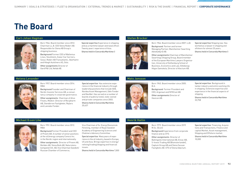# **The Board**

#### **Carl-Johan Hagman Stefan Brocker**



Born 1966. Board member since 2012. Chairman LL.B. CEO Stena Rederi AB. Responsible for Stena AB Group's shipping business.

Background Former CEO of Wallenius Lines, Stockholm, Eukor Car Carriers, Seoul, Rederi AB Transatlantic, Skärhamn and Höegh Autoliners AS, Oslo.

Other assignments Director of Gard P&I Ltd, Nefab AB.

Special expertise Experience in shipping and as a maritime lawyer and naval officer. Twenty years' experience of Asia. Shares held in Concordia Maritime 0



Born 1966. Board member since 2007. LLB. Background Partner and former Managing Partner, Mannheimer Swartling Advokatbyrå AB.

Other assignments Chairman of Mannheimer Swartlings Shipping Group, Board member of the European Maritime Lawyers Organisation, University of Gothenburg School of Business, Economics and Law, Göteborgs Högre Samskola, Director of Alectum AB.

Special expertise Shipping law. Has worked as a lawyer in shipping and offshore for almost 25 years. Shares held in Concordia Maritime 0

#### **Helena Levander Mats Jansson**



Born 1957. Board member since 2014. MBA

Background Founder and Chairman of Nordic Investor Services AB, a consultancy company in corporate governance. Other assignments Chairman of Ativo Finans, Medivir. Director of Recipharm

AB, Stendörren Fastigheter, Rejlers and Lannebo Fonder.

Special expertise Has extensive experience in the financial industry through leadership positions that include SEB, Nordea Asset Management, Odin Fonder and NeoNet. Has served on a number of boards of publicly listed, state-owned and private companies since 2003. Shares held in Concordia Maritime 20,637



Born 1945. Board member since 2005. B.A.

Background Former President and CEO, Argonaut and NYKCool AB. Other assignments Director of Hexicon AB.

Special expertise Background in tanker industry and entire working life in shipping. Extensive expertise and experience in the financial aspects of shipping. Shares held in Concordia Maritime

33,758

**Michael G:son Löw Henrik Hallin**



Born 1951. Board member since 2012. MBA

Background Former President and CEO of Preem AB. A number of senior positions at the oil/energy company Conoco Inc. in the Nordic region and internationally.

Other assignments Director of Preem AB, Boliden AB, Stena Bulk AB, Naturstenskompaniet Intl. AB, Vice Chairman Swedish/ Russian Chamber of Commerce,

Vice Chairman of Sv. Energi Ekonomisk Förening, member of Royal Swedish Academy of Engineering Sciences and Chalmers Advisory Committee.

Special expertise Many years of experience in the oil industry, based in Europe, US and Asia. Brings expertise in energy/ refining/trading/shipping and financial issues.

Shares held in Concordia Maritime 7,000



Born 1972. Board member since 2019. M.Sc. (Econ)

Background Experience from corporate finance and as CFO.

Other assignments Director of Ballingslöv International AB, Envac AB, S-Invest Trading AB (Blomsterlandet), Captum Group AB and Stena Sessan Fastighets AB. CFO of Stena Adactum.

Special expertise Financing, Acquisitions and Transactions, Finance and capital Market, Asset management, Shipping and Offshore market.

Shares held in Concordia Maritime 10,000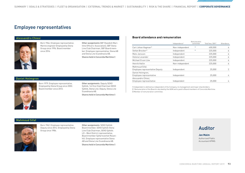## Employee representatives

#### **Alessandro Chiesi**



Born 1966. Employee representative. Marine engineer Employed by Stena Group since 1996. Board member since 2016.

Other assignments SBF (Swedish Maritime Officers' Association), SBF Stena Line Club Chairman, SBF Board member. Employee representative, Stena AB and Stena Line Scandinavia AB. Shares held in Concordia Maritime 0

#### **Board attendance and remuneration**

|                                                         | Independence <sup>1)</sup> | Remuneration<br>committee | Total fees, SEK <sup>21</sup> | Attendance            |
|---------------------------------------------------------|----------------------------|---------------------------|-------------------------------|-----------------------|
| Carl-Johan Hagman <sup>31</sup>                         | Non-independent            | $\ast$                    | 400.000                       | 6                     |
| Stefan Brocker <sup>31</sup>                            | Independent                | $\ast$                    | 225,000                       | 6                     |
| Mats Jansson                                            | Independent                |                           | 225,000                       | 6                     |
| Helena Levander                                         | Independent                |                           | 225,000                       | 6                     |
| Michael G:son Löw                                       | Independent                |                           | 225,000                       | 6                     |
| Henrik Hallin                                           | Non-independent            |                           | 225,000                       | 6                     |
| Mahmoud Sifaf,<br><b>Employee representative Deputy</b> | Independent                |                           | 25,000                        | $\mathbf{2}^{\prime}$ |
| Daniel Holmgren,<br>Employee representative             | Independent                |                           | 25,000                        | 4                     |
| Alessandro Chiesi.<br>Employee representative           | Independent                |                           | 25,000                        | 4                     |

1) Independent is defined as independent of the Company, its management and major shareholders.

2) Remuneration of the Board is decided by the AGM and is paid to Board members of Concordia Maritime.

3) Member of remuneration committee.

#### **Daniel Holmgren**



Born 1979. Employee representative. Employed by Stena Group since 2002. Board member since 2013.

Other assignments Deputy SEKO Sjöfolk, 1st Vice Club Chairman SEKO Sjöfolk, Stena Line. Deputy, Stena Line Scandinavia AB.

Shares held in Concordia Maritime 0

### **Mahmoud Sifaf**



Born 1962. Employee representative. Deputy since 2014. Employed by Stena Group since 1986.

Other assignments SEKO Sjöfolk Board member, SEKO Sjöfolk Stena Line Club Chairman, SEKO Sjöfolk: LO – West District representative, Board member Sjöfartsverket Rosenhill. Employee representative Stena AB and Stena Line Scandinavia AB. Shares held in Concordia Maritime 0

## Auditor

#### **Jan Malm**

Authorised Public Accountant KPMG.